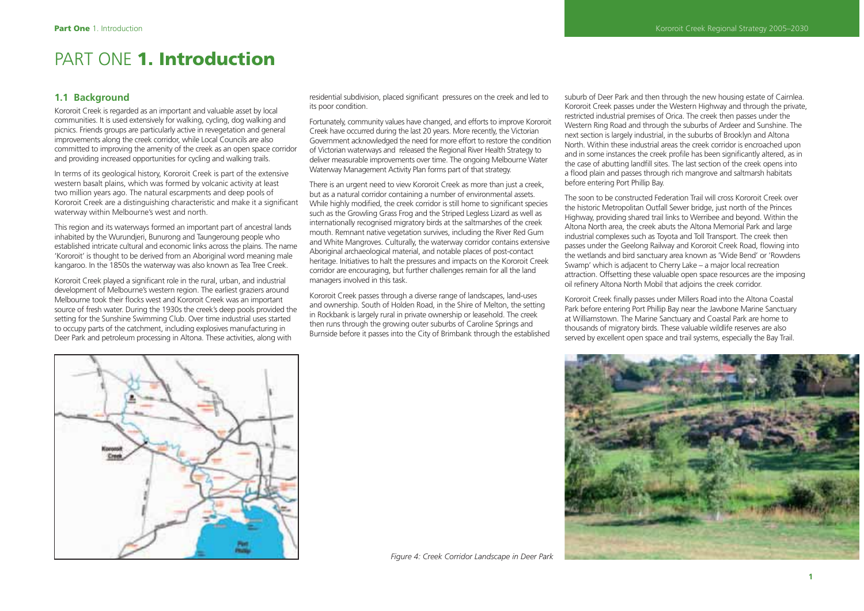# PART ONE **1. Introduction**

# **1.1 Background**

Kororoit Creek is regarded as an important and valuable asset by local communities. It is used extensively for walking, cycling, dog walking and picnics. Friends groups are particularly active in revegetation and general improvements along the creek corridor, while Local Councils are also committed to improving the amenity of the creek as an open space corridor and providing increased opportunities for cycling and walking trails.

In terms of its geological history, Kororoit Creek is part of the extensive western basalt plains, which was formed by volcanic activity at least two million years ago. The natural escarpments and deep pools of Kororoit Creek are a distinguishing characteristic and make it a significant waterway within Melbourne's west and north.

This region and its waterways formed an important part of ancestral lands inhabited by the Wurundjeri, Bunurong and Taungeroung people who established intricate cultural and economic links across the plains. The name 'Kororoit' is thought to be derived from an Aboriginal word meaning male kangaroo. In the 1850s the waterway was also known as Tea Tree Creek.

Kororoit Creek played a significant role in the rural, urban, and industrial development of Melbourne's western region. The earliest graziers around Melbourne took their flocks west and Kororoit Creek was an important source of fresh water. During the 1930s the creek's deep pools provided the setting for the Sunshine Swimming Club. Over time industrial uses started to occupy parts of the catchment, including explosives manufacturing in Deer Park and petroleum processing in Altona. These activities, along with

residential subdivision, placed significant pressures on the creek and led to its poor condition.

Fortunately, community values have changed, and efforts to improve Kororoit Creek have occurred during the last 20 years. More recently, the Victorian Government acknowledged the need for more effort to restore the condition of Victorian waterways and released the Regional River Health Strategy to deliver measurable improvements over time. The ongoing Melbourne Water Waterway Management Activity Plan forms part of that strategy.

There is an urgent need to view Kororoit Creek as more than just a creek, but as a natural corridor containing a number of environmental assets. While highly modified, the creek corridor is still home to significant species such as the Growling Grass Frog and the Striped Legless Lizard as well as internationally recognised migratory birds at the saltmarshes of the creek mouth. Remnant native vegetation survives, including the River Red Gum and White Mangroves. Culturally, the waterway corridor contains extensive Aboriginal archaeological material, and notable places of post-contact heritage. Initiatives to halt the pressures and impacts on the Kororoit Creek corridor are encouraging, but further challenges remain for all the land managers involved in this task.

Kororoit Creek passes through a diverse range of landscapes, land-uses and ownership. South of Holden Road, in the Shire of Melton, the setting in Rockbank is largely rural in private ownership or leasehold. The creek then runs through the growing outer suburbs of Caroline Springs and Burnside before it passes into the City of Brimbank through the established suburb of Deer Park and then through the new housing estate of Cairnlea. Kororoit Creek passes under the Western Highway and through the private, restricted industrial premises of Orica. The creek then passes under the Western Ring Road and through the suburbs of Ardeer and Sunshine. The next section is largely industrial, in the suburbs of Brooklyn and Altona North. Within these industrial areas the creek corridor is encroached upon and in some instances the creek profile has been significantly altered, as in the case of abutting landfill sites. The last section of the creek opens into a flood plain and passes through rich mangrove and saltmarsh habitats before entering Port Phillip Bay.

The soon to be constructed Federation Trail will cross Kororoit Creek over the historic Metropolitan Outfall Sewer bridge, just north of the Princes Highway, providing shared trail links to Werribee and beyond. Within the Altona North area, the creek abuts the Altona Memorial Park and large industrial complexes such as Toyota and Toll Transport. The creek then passes under the Geelong Railway and Kororoit Creek Road, flowing into the wetlands and bird sanctuary area known as 'Wide Bend' or 'Rowdens Swamp' which is adjacent to Cherry Lake – a major local recreation attraction. Offsetting these valuable open space resources are the imposing oil refinery Altona North Mobil that adjoins the creek corridor.

Kororoit Creek finally passes under Millers Road into the Altona Coastal Park before entering Port Phillip Bay near the Jawbone Marine Sanctuary at Williamstown. The Marine Sanctuary and Coastal Park are home to thousands of migratory birds. These valuable wildlife reserves are also served by excellent open space and trail systems, especially the Bay Trail.

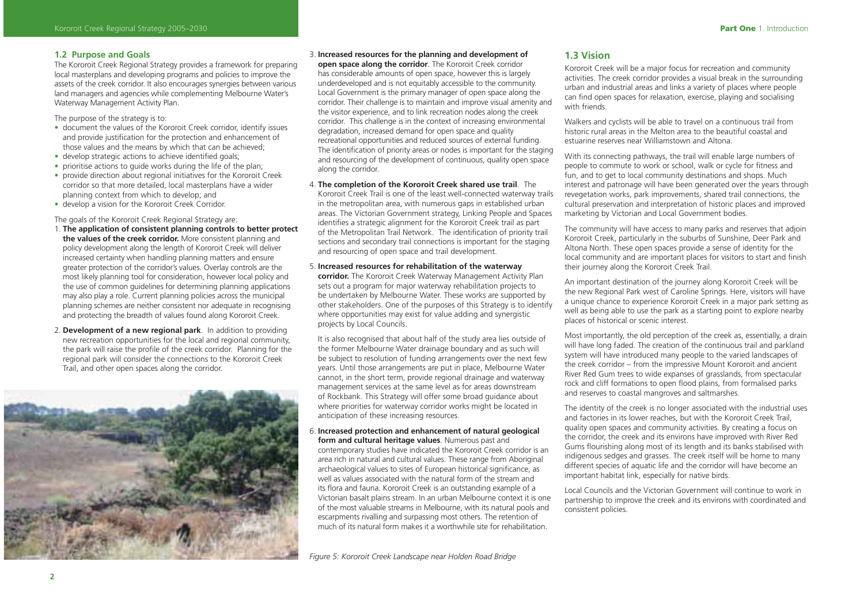#### **1.2 Purpose and Goals**

The Kororoit Creek Regional Strategy provides a framework for preparing local masterplans and developing programs and policies to improve the assets of the creek corridor. It also encourages synergies between various land managers and agencies while complementing Melbourne Water's Waterway Management Activity Plan.

The purpose of the strategy is to:

- document the values of the Kororoit Creek corridor, identify issues and provide justification for the protection and enhancement of those values and the means by which that can be achieved;
- develop strategic actions to achieve identified goals;
- prioritise actions to quide works during the life of the plan:
- provide direction about regional initiatives for the Kororoit Creek corridor so that more detailed, local masterplans have a wider planning context from which to develop; and
- develop a vision for the Kororoit Creek Corridor.

The goals of the Kororoit Creek Regional Strategy are:

- 1. **The application of consistent planning controls to better protect the values of the creek corridor.** More consistent planning and policy development along the length of Kororoit Creek will deliver increased certainty when handling planning matters and ensure greater protection of the corridor's values. Overlay controls are the most likely planning tool for consideration, however local policy and the use of common guidelines for determining planning applications may also play a role. Current planning policies across the municipal planning schemes are neither consistent nor adequate in recognising and protecting the breadth of values found along Kororoit Creek.
- 2. **Development of a new regional park**. In addition to providing new recreation opportunities for the local and regional community, the park will raise the profile of the creek corridor. Planning for the regional park will consider the connections to the Kororoit Creek Trail, and other open spaces along the corridor.



3. **Increased resources for the planning and development of open space along the corridor**. The Kororoit Creek corridor

has considerable amounts of open space, however this is largely underdeveloped and is not equitably accessible to the community. Local Government is the primary manager of open space along the corridor. Their challenge is to maintain and improve visual amenity and the visitor experience, and to link recreation nodes along the creek corridor. This challenge is in the context of increasing environmental degradation, increased demand for open space and quality recreational opportunities and reduced sources of external funding. The identification of priority areas or nodes is important for the staging and resourcing of the development of continuous, quality open space along the corridor.

4. **The completion of the Kororoit Creek shared use trail**. The Kororoit Creek Trail is one of the least well-connected waterway trails in the metropolitan area, with numerous gaps in established urban areas. The Victorian Government strategy, Linking People and Spaces identifies a strategic alignment for the Kororoit Creek trail as part of the Metropolitan Trail Network. The identification of priority trail sections and secondary trail connections is important for the staging and resourcing of open space and trail development.

#### 5. **Increased resources for rehabilitation of the waterway**

**corridor.** The Kororoit Creek Waterway Management Activity Plan sets out a program for major waterway rehabilitation projects to be undertaken by Melbourne Water. These works are supported by other stakeholders. One of the purposes of this Strategy is to identify where opportunities may exist for value adding and synergistic projects by Local Councils.

 It is also recognised that about half of the study area lies outside of the former Melbourne Water drainage boundary and as such will be subject to resolution of funding arrangements over the next few years. Until those arrangements are put in place, Melbourne Water cannot, in the short term, provide regional drainage and waterway management services at the same level as for areas downstream of Rockbank. This Strategy will offer some broad guidance about where priorities for waterway corridor works might be located in anticipation of these increasing resources.

6. **Increased protection and enhancement of natural geological form and cultural heritage values**. Numerous past and contemporary studies have indicated the Kororoit Creek corridor is an area rich in natural and cultural values. These range from Aboriginal archaeological values to sites of European historical significance, as well as values associated with the natural form of the stream and its flora and fauna. Kororoit Creek is an outstanding example of a Victorian basalt plains stream. In an urban Melbourne context it is one of the most valuable streams in Melbourne, with its natural pools and escarpments rivalling and surpassing most others. The retention of much of its natural form makes it a worthwhile site for rehabilitation.

*Figure 5: Kororoit Creek Landscape near Holden Road Bridge*

### **1.3 Vision**

Kororoit Creek will be a major focus for recreation and community activities. The creek corridor provides a visual break in the surrounding urban and industrial areas and links a variety of places where people can find open spaces for relaxation, exercise, playing and socialising with friends

Walkers and cyclists will be able to travel on a continuous trail from historic rural areas in the Melton area to the beautiful coastal and estuarine reserves near Williamstown and Altona.

With its connecting pathways, the trail will enable large numbers of people to commute to work or school, walk or cycle for fitness and fun, and to get to local community destinations and shops. Much interest and patronage will have been generated over the years through revegetation works, park improvements, shared trail connections, the cultural preservation and interpretation of historic places and improved marketing by Victorian and Local Government bodies.

The community will have access to many parks and reserves that adjoin Kororoit Creek, particularly in the suburbs of Sunshine, Deer Park and Altona North. These open spaces provide a sense of identity for the local community and are important places for visitors to start and finish their journey along the Kororoit Creek Trail.

An important destination of the journey along Kororoit Creek will be the new Regional Park west of Caroline Springs. Here, visitors will have a unique chance to experience Kororoit Creek in a major park setting as well as being able to use the park as a starting point to explore nearby places of historical or scenic interest.

Most importantly, the old perception of the creek as, essentially, a drain will have long faded. The creation of the continuous trail and parkland system will have introduced many people to the varied landscapes of the creek corridor – from the impressive Mount Kororoit and ancient River Red Gum trees to wide expanses of grasslands, from spectacular rock and cliff formations to open flood plains, from formalised parks and reserves to coastal mangroves and saltmarshes.

The identity of the creek is no longer associated with the industrial uses and factories in its lower reaches, but with the Kororoit Creek Trail, quality open spaces and community activities. By creating a focus on the corridor, the creek and its environs have improved with River Red Gums flourishing along most of its length and its banks stabilised with indigenous sedges and grasses. The creek itself will be home to many different species of aquatic life and the corridor will have become an important habitat link, especially for native birds.

Local Councils and the Victorian Government will continue to work in partnership to improve the creek and its environs with coordinated and consistent policies.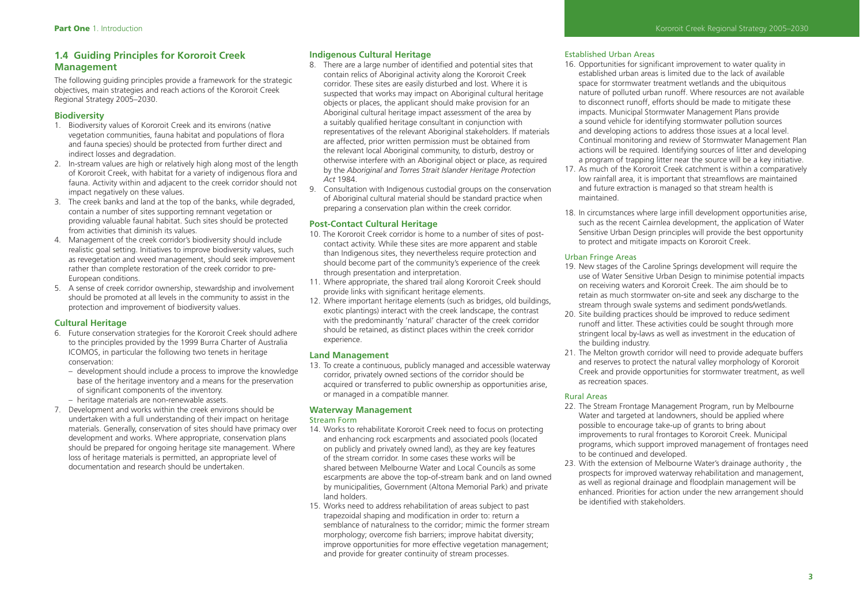# **1.4 Guiding Principles for Kororoit Creek Management**

The following guiding principles provide a framework for the strategic objectives, main strategies and reach actions of the Kororoit Creek Regional Strategy 2005–2030.

## **Biodiversity**

- 1. Biodiversity values of Kororoit Creek and its environs (native vegetation communities, fauna habitat and populations of flora and fauna species) should be protected from further direct and indirect losses and degradation.
- 2. In-stream values are high or relatively high along most of the length of Kororoit Creek, with habitat for a variety of indigenous flora and fauna. Activity within and adjacent to the creek corridor should not impact negatively on these values.
- 3. The creek banks and land at the top of the banks, while degraded, contain a number of sites supporting remnant vegetation or providing valuable faunal habitat. Such sites should be protected from activities that diminish its values.
- 4. Management of the creek corridor's biodiversity should include realistic goal setting. Initiatives to improve biodiversity values, such as revegetation and weed management, should seek improvement rather than complete restoration of the creek corridor to pre-European conditions.
- 5. A sense of creek corridor ownership, stewardship and involvement should be promoted at all levels in the community to assist in the protection and improvement of biodiversity values.

## **Cultural Heritage**

- 6. Future conservation strategies for the Kororoit Creek should adhere to the principles provided by the 1999 Burra Charter of Australia ICOMOS, in particular the following two tenets in heritage conservation:
	- development should include a process to improve the knowledge base of the heritage inventory and a means for the preservation of significant components of the inventory.
	- heritage materials are non-renewable assets.
- 7. Development and works within the creek environs should be undertaken with a full understanding of their impact on heritage materials. Generally, conservation of sites should have primacy over development and works. Where appropriate, conservation plans should be prepared for ongoing heritage site management. Where loss of heritage materials is permitted, an appropriate level of documentation and research should be undertaken.

### **Indigenous Cultural Heritage**

- 8. There are a large number of identified and potential sites that contain relics of Aboriginal activity along the Kororoit Creek corridor. These sites are easily disturbed and lost. Where it is suspected that works may impact on Aboriginal cultural heritage objects or places, the applicant should make provision for an Aboriginal cultural heritage impact assessment of the area by a suitably qualified heritage consultant in conjunction with representatives of the relevant Aboriginal stakeholders. If materials are affected, prior written permission must be obtained from the relevant local Aboriginal community, to disturb, destroy or otherwise interfere with an Aboriginal object or place, as required by the *Aboriginal and Torres Strait Islander Heritage Protection Act* 1984.
- 9. Consultation with Indigenous custodial groups on the conservation of Aboriginal cultural material should be standard practice when preparing a conservation plan within the creek corridor.

#### **Post-Contact Cultural Heritage**

- 10. The Kororoit Creek corridor is home to a number of sites of postcontact activity. While these sites are more apparent and stable than Indigenous sites, they nevertheless require protection and should become part of the community's experience of the creek through presentation and interpretation.
- 11. Where appropriate, the shared trail along Kororoit Creek should provide links with significant heritage elements.
- 12. Where important heritage elements (such as bridges, old buildings, exotic plantings) interact with the creek landscape, the contrast with the predominantly 'natural' character of the creek corridor should be retained, as distinct places within the creek corridor experience.

#### **Land Management**

13. To create a continuous, publicly managed and accessible waterway corridor, privately owned sections of the corridor should be acquired or transferred to public ownership as opportunities arise, or managed in a compatible manner.

## **Waterway Management**

#### Stream Form

- 14. Works to rehabilitate Kororoit Creek need to focus on protecting and enhancing rock escarpments and associated pools (located on publicly and privately owned land), as they are key features of the stream corridor. In some cases these works will be shared between Melbourne Water and Local Councils as some escarpments are above the top-of-stream bank and on land owned by municipalities, Government (Altona Memorial Park) and private land holders.
- 15. Works need to address rehabilitation of areas subject to past trapezoidal shaping and modification in order to: return a semblance of naturalness to the corridor; mimic the former stream morphology; overcome fish barriers; improve habitat diversity; improve opportunities for more effective vegetation management; and provide for greater continuity of stream processes.

#### Established Urban Areas

- 16. Opportunities for significant improvement to water quality in established urban areas is limited due to the lack of available space for stormwater treatment wetlands and the ubiquitous nature of polluted urban runoff. Where resources are not available to disconnect runoff, efforts should be made to mitigate these impacts. Municipal Stormwater Management Plans provide a sound vehicle for identifying stormwater pollution sources and developing actions to address those issues at a local level. Continual monitoring and review of Stormwater Management Plan actions will be required. Identifying sources of litter and developing a program of trapping litter near the source will be a key initiative.
- 17. As much of the Kororoit Creek catchment is within a comparatively low rainfall area, it is important that streamflows are maintained and future extraction is managed so that stream health is maintained.
- 18. In circumstances where large infill development opportunities arise, such as the recent Cairnlea development, the application of Water Sensitive Urban Design principles will provide the best opportunity to protect and mitigate impacts on Kororoit Creek.

#### Urban Fringe Areas

- 19. New stages of the Caroline Springs development will require the use of Water Sensitive Urban Design to minimise potential impacts on receiving waters and Kororoit Creek. The aim should be to retain as much stormwater on-site and seek any discharge to the stream through swale systems and sediment ponds/wetlands.
- 20. Site building practices should be improved to reduce sediment runoff and litter. These activities could be sought through more stringent local by-laws as well as investment in the education of the building industry.
- 21. The Melton growth corridor will need to provide adequate buffers and reserves to protect the natural valley morphology of Kororoit Creek and provide opportunities for stormwater treatment, as well as recreation spaces.

#### Rural Areas

- 22. The Stream Frontage Management Program, run by Melbourne Water and targeted at landowners, should be applied where possible to encourage take-up of grants to bring about improvements to rural frontages to Kororoit Creek. Municipal programs, which support improved management of frontages need to be continued and developed.
- 23. With the extension of Melbourne Water's drainage authority , the prospects for improved waterway rehabilitation and management, as well as regional drainage and floodplain management will be enhanced. Priorities for action under the new arrangement should be identified with stakeholders.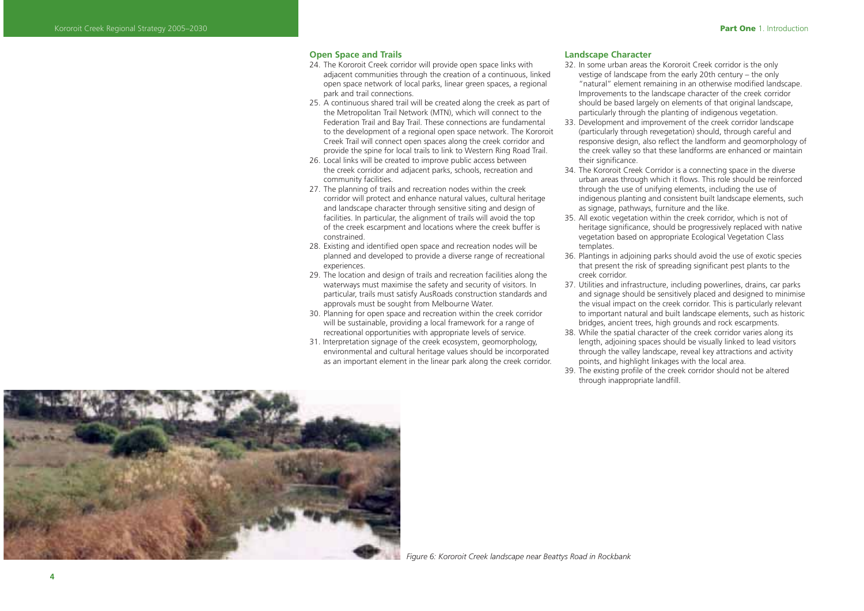#### **Open Space and Trails**

- 24. The Kororoit Creek corridor will provide open space links with adjacent communities through the creation of a continuous, linked open space network of local parks, linear green spaces, a regional park and trail connections.
- 25. A continuous shared trail will be created along the creek as part of the Metropolitan Trail Network (MTN), which will connect to the Federation Trail and Bay Trail. These connections are fundamental to the development of a regional open space network. The Kororoit Creek Trail will connect open spaces along the creek corridor and provide the spine for local trails to link to Western Ring Road Trail.
- 26. Local links will be created to improve public access between the creek corridor and adjacent parks, schools, recreation and community facilities.
- 27. The planning of trails and recreation nodes within the creek corridor will protect and enhance natural values, cultural heritage and landscape character through sensitive siting and design of facilities. In particular, the alignment of trails will avoid the top of the creek escarpment and locations where the creek buffer is constrained.
- 28. Existing and identified open space and recreation nodes will be planned and developed to provide a diverse range of recreational experiences.
- 29. The location and design of trails and recreation facilities along the waterways must maximise the safety and security of visitors. In particular, trails must satisfy AusRoads construction standards and approvals must be sought from Melbourne Water.
- 30. Planning for open space and recreation within the creek corridor will be sustainable, providing a local framework for a range of recreational opportunities with appropriate levels of service.
- 31. Interpretation signage of the creek ecosystem, geomorphology, environmental and cultural heritage values should be incorporated as an important element in the linear park along the creek corridor.

#### **Landscape Character**

- 32. In some urban areas the Kororoit Creek corridor is the only vestige of landscape from the early 20th century – the only "natural" element remaining in an otherwise modified landscape. Improvements to the landscape character of the creek corridor should be based largely on elements of that original landscape, particularly through the planting of indigenous vegetation.
- 33. Development and improvement of the creek corridor landscape (particularly through revegetation) should, through careful and responsive design, also reflect the landform and geomorphology of the creek valley so that these landforms are enhanced or maintain their significance
- 34. The Kororoit Creek Corridor is a connecting space in the diverse urban areas through which it flows. This role should be reinforced through the use of unifying elements, including the use of indigenous planting and consistent built landscape elements, such as signage, pathways, furniture and the like.
- 35. All exotic vegetation within the creek corridor, which is not of heritage significance, should be progressively replaced with native vegetation based on appropriate Ecological Vegetation Class templates.
- 36. Plantings in adjoining parks should avoid the use of exotic species that present the risk of spreading significant pest plants to the creek corridor.
- 37. Utilities and infrastructure, including powerlines, drains, car parks and signage should be sensitively placed and designed to minimise the visual impact on the creek corridor. This is particularly relevant to important natural and built landscape elements, such as historic bridges, ancient trees, high grounds and rock escarpments.
- 38. While the spatial character of the creek corridor varies along its length, adjoining spaces should be visually linked to lead visitors through the valley landscape, reveal key attractions and activity points, and highlight linkages with the local area.
- 39. The existing profile of the creek corridor should not be altered through inappropriate landfill.



*Figure 6: Kororoit Creek landscape near Beattys Road in Rockbank*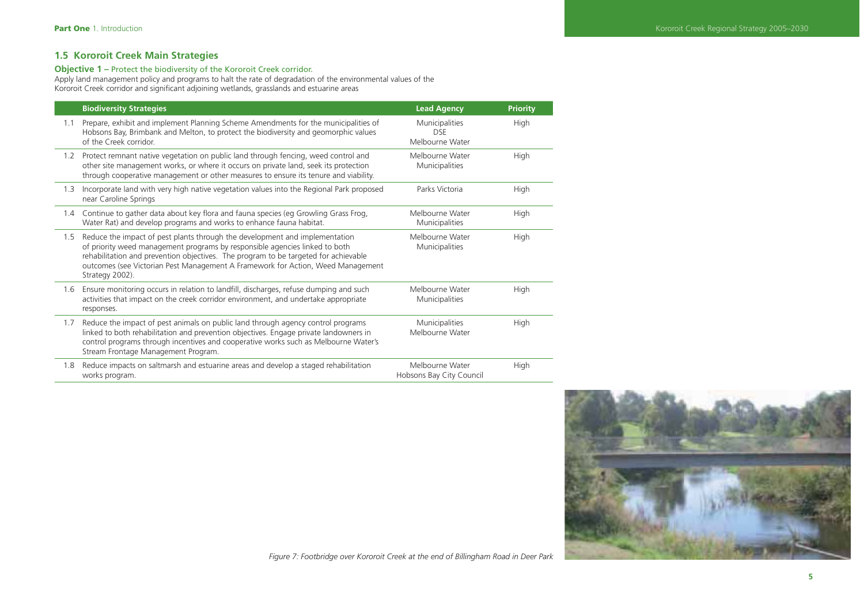# **1.5 Kororoit Creek Main Strategies**

#### **Objective 1 –** Protect the biodiversity of the Kororoit Creek corridor.

Apply land management policy and programs to halt the rate of degradation of the environmental values of the Kororoit Creek corridor and significant adjoining wetlands, grasslands and estuarine areas

|     | <b>Biodiversity Strategies</b>                                                                                                                                                                                                                                                                                                                          | <b>Lead Agency</b>                              | <b>Priority</b> |
|-----|---------------------------------------------------------------------------------------------------------------------------------------------------------------------------------------------------------------------------------------------------------------------------------------------------------------------------------------------------------|-------------------------------------------------|-----------------|
| 1.1 | Prepare, exhibit and implement Planning Scheme Amendments for the municipalities of<br>Hobsons Bay, Brimbank and Melton, to protect the biodiversity and geomorphic values<br>of the Creek corridor.                                                                                                                                                    | Municipalities<br><b>DSE</b><br>Melbourne Water | High            |
| 1.2 | Protect remnant native vegetation on public land through fencing, weed control and<br>other site management works, or where it occurs on private land, seek its protection<br>through cooperative management or other measures to ensure its tenure and viability.                                                                                      | Melbourne Water<br>Municipalities               | High            |
| 1.3 | Incorporate land with very high native vegetation values into the Regional Park proposed<br>near Caroline Springs                                                                                                                                                                                                                                       | Parks Victoria                                  | High            |
| 1.4 | Continue to gather data about key flora and fauna species (eg Growling Grass Frog,<br>Water Rat) and develop programs and works to enhance fauna habitat.                                                                                                                                                                                               | Melbourne Water<br>Municipalities               | High            |
| 1.5 | Reduce the impact of pest plants through the development and implementation<br>of priority weed management programs by responsible agencies linked to both<br>rehabilitation and prevention objectives. The program to be targeted for achievable<br>outcomes (see Victorian Pest Management A Framework for Action, Weed Management<br>Strategy 2002). | Melbourne Water<br>Municipalities               | High            |
| 1.6 | Ensure monitoring occurs in relation to landfill, discharges, refuse dumping and such<br>activities that impact on the creek corridor environment, and undertake appropriate<br>responses.                                                                                                                                                              | Melbourne Water<br>Municipalities               | High            |
| 1.7 | Reduce the impact of pest animals on public land through agency control programs<br>linked to both rehabilitation and prevention objectives. Engage private landowners in<br>control programs through incentives and cooperative works such as Melbourne Water's<br>Stream Frontage Management Program.                                                 | Municipalities<br>Melbourne Water               | High            |
| 1.8 | Reduce impacts on saltmarsh and estuarine areas and develop a staged rehabilitation<br>works program.                                                                                                                                                                                                                                                   | Melbourne Water<br>Hobsons Bay City Council     | High            |



*Figure 7: Footbridge over Kororoit Creek at the end of Billingham Road in Deer Park*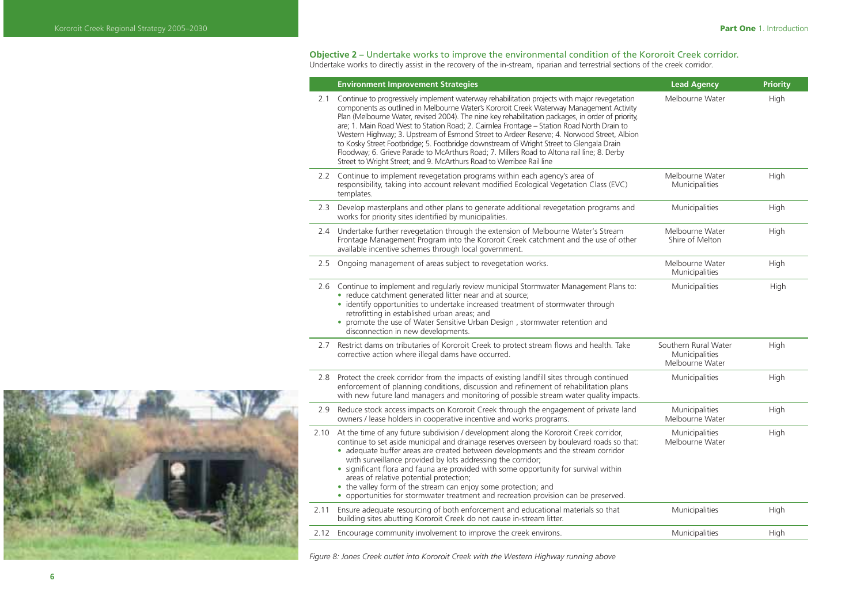# **Objective 2 –** Undertake works to improve the environmental condition of the Kororoit Creek corridor.

Undertake works to directly assist in the recovery of the in-stream, riparian and terrestrial sections of the creek corridor.

|      | <b>Environment Improvement Strategies</b>                                                                                                                                                                                                                                                                                                                                                                                                                                                                                                                                                                                                                                                                                                                  | <b>Lead Agency</b>                                        | <b>Priority</b> |
|------|------------------------------------------------------------------------------------------------------------------------------------------------------------------------------------------------------------------------------------------------------------------------------------------------------------------------------------------------------------------------------------------------------------------------------------------------------------------------------------------------------------------------------------------------------------------------------------------------------------------------------------------------------------------------------------------------------------------------------------------------------------|-----------------------------------------------------------|-----------------|
| 2.1  | Continue to progressively implement waterway rehabilitation projects with major revegetation<br>components as outlined in Melbourne Water's Kororoit Creek Waterway Management Activity<br>Plan (Melbourne Water, revised 2004). The nine key rehabilitation packages, in order of priority,<br>are; 1. Main Road West to Station Road; 2. Cairnlea Frontage - Station Road North Drain to<br>Western Highway; 3. Upstream of Esmond Street to Ardeer Reserve; 4. Norwood Street, Albion<br>to Kosky Street Footbridge; 5. Footbridge downstream of Wright Street to Glengala Drain<br>Floodway; 6. Grieve Parade to McArthurs Road; 7. Millers Road to Altona rail line; 8. Derby<br>Street to Wright Street; and 9. McArthurs Road to Werribee Rail line | Melbourne Water                                           | High            |
|      | 2.2 Continue to implement revegetation programs within each agency's area of<br>responsibility, taking into account relevant modified Ecological Vegetation Class (EVC)<br>templates.                                                                                                                                                                                                                                                                                                                                                                                                                                                                                                                                                                      | Melbourne Water<br>Municipalities                         | High            |
| 2.3  | Develop masterplans and other plans to generate additional revegetation programs and<br>works for priority sites identified by municipalities.                                                                                                                                                                                                                                                                                                                                                                                                                                                                                                                                                                                                             | Municipalities                                            | High            |
| 2.4  | Undertake further revegetation through the extension of Melbourne Water's Stream<br>Frontage Management Program into the Kororoit Creek catchment and the use of other<br>available incentive schemes through local government.                                                                                                                                                                                                                                                                                                                                                                                                                                                                                                                            | Melbourne Water<br>Shire of Melton                        | High            |
| 2.5  | Ongoing management of areas subject to revegetation works.                                                                                                                                                                                                                                                                                                                                                                                                                                                                                                                                                                                                                                                                                                 | Melbourne Water<br>Municipalities                         | High            |
| 2.6  | Continue to implement and regularly review municipal Stormwater Management Plans to:<br>• reduce catchment generated litter near and at source;<br>• identify opportunities to undertake increased treatment of stormwater through<br>retrofitting in established urban areas; and<br>• promote the use of Water Sensitive Urban Design, stormwater retention and<br>disconnection in new developments.                                                                                                                                                                                                                                                                                                                                                    | Municipalities                                            | High            |
| 2.7  | Restrict dams on tributaries of Kororoit Creek to protect stream flows and health. Take<br>corrective action where illegal dams have occurred.                                                                                                                                                                                                                                                                                                                                                                                                                                                                                                                                                                                                             | Southern Rural Water<br>Municipalities<br>Melbourne Water | High            |
|      | 2.8 Protect the creek corridor from the impacts of existing landfill sites through continued<br>enforcement of planning conditions, discussion and refinement of rehabilitation plans<br>with new future land managers and monitoring of possible stream water quality impacts.                                                                                                                                                                                                                                                                                                                                                                                                                                                                            | Municipalities                                            | High            |
| 2.9  | Reduce stock access impacts on Kororoit Creek through the engagement of private land<br>owners / lease holders in cooperative incentive and works programs.                                                                                                                                                                                                                                                                                                                                                                                                                                                                                                                                                                                                | Municipalities<br>Melbourne Water                         | High            |
| 2.10 | At the time of any future subdivision / development along the Kororoit Creek corridor,<br>continue to set aside municipal and drainage reserves overseen by boulevard roads so that:<br>• adequate buffer areas are created between developments and the stream corridor<br>with surveillance provided by lots addressing the corridor;<br>• significant flora and fauna are provided with some opportunity for survival within<br>areas of relative potential protection;<br>• the valley form of the stream can enjoy some protection; and<br>• opportunities for stormwater treatment and recreation provision can be preserved.                                                                                                                        | Municipalities<br>Melbourne Water                         | High            |
| 2.11 | Ensure adequate resourcing of both enforcement and educational materials so that<br>building sites abutting Kororoit Creek do not cause in-stream litter.                                                                                                                                                                                                                                                                                                                                                                                                                                                                                                                                                                                                  | Municipalities                                            | High            |
| 2.12 | Encourage community involvement to improve the creek environs.                                                                                                                                                                                                                                                                                                                                                                                                                                                                                                                                                                                                                                                                                             | Municipalities                                            | High            |
|      |                                                                                                                                                                                                                                                                                                                                                                                                                                                                                                                                                                                                                                                                                                                                                            |                                                           |                 |

*Figure 8: Jones Creek outlet into Kororoit Creek with the Western Highway running above*

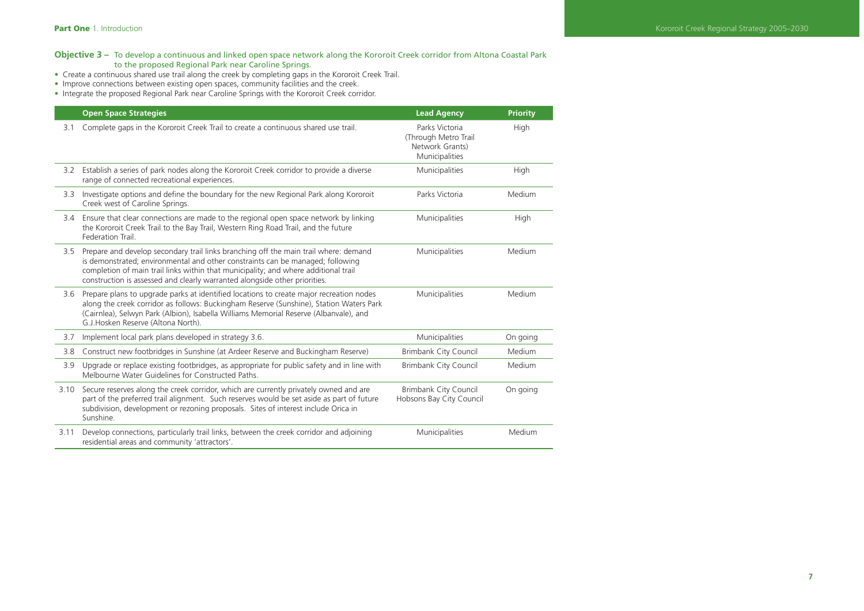## **Objective 3 –** To develop a continuous and linked open space network along the Kororoit Creek corridor from Altona Coastal Park to the proposed Regional Park near Caroline Springs.

- Create a continuous shared use trail along the creek by completing gaps in the Kororoit Creek Trail.
- Improve connections between existing open spaces, community facilities and the creek.
- Integrate the proposed Regional Park near Caroline Springs with the Kororoit Creek corridor.

|      | <b>Open Space Strategies</b>                                                                                                                                                                                                                                                                                                                    | <b>Lead Agency</b>                                                          | <b>Priority</b> |
|------|-------------------------------------------------------------------------------------------------------------------------------------------------------------------------------------------------------------------------------------------------------------------------------------------------------------------------------------------------|-----------------------------------------------------------------------------|-----------------|
| 3.1  | Complete gaps in the Kororoit Creek Trail to create a continuous shared use trail.                                                                                                                                                                                                                                                              | Parks Victoria<br>(Through Metro Trail<br>Network Grants)<br>Municipalities | High            |
| 3.2  | Establish a series of park nodes along the Kororoit Creek corridor to provide a diverse<br>range of connected recreational experiences.                                                                                                                                                                                                         | Municipalities                                                              | High            |
| 3.3  | Investigate options and define the boundary for the new Regional Park along Kororoit<br>Creek west of Caroline Springs.                                                                                                                                                                                                                         | Parks Victoria                                                              | Medium          |
|      | 3.4 Ensure that clear connections are made to the regional open space network by linking<br>the Kororoit Creek Trail to the Bay Trail, Western Ring Road Trail, and the future<br>Federation Trail.                                                                                                                                             | Municipalities                                                              | High            |
|      | 3.5 Prepare and develop secondary trail links branching off the main trail where: demand<br>is demonstrated; environmental and other constraints can be managed; following<br>completion of main trail links within that municipality; and where additional trail<br>construction is assessed and clearly warranted alongside other priorities. | Municipalities                                                              | Medium          |
| 3.6  | Prepare plans to upgrade parks at identified locations to create major recreation nodes<br>along the creek corridor as follows: Buckingham Reserve (Sunshine), Station Waters Park<br>(Cairnlea), Selwyn Park (Albion), Isabella Williams Memorial Reserve (Albanvale), and<br>G.J. Hosken Reserve (Altona North).                              | Municipalities                                                              | Medium          |
| 3.7  | Implement local park plans developed in strategy 3.6.                                                                                                                                                                                                                                                                                           | Municipalities                                                              | On going        |
| 3.8  | Construct new footbridges in Sunshine (at Ardeer Reserve and Buckingham Reserve)                                                                                                                                                                                                                                                                | <b>Brimbank City Council</b>                                                | Medium          |
| 3.9  | Upgrade or replace existing footbridges, as appropriate for public safety and in line with<br>Melbourne Water Guidelines for Constructed Paths.                                                                                                                                                                                                 | <b>Brimbank City Council</b>                                                | Medium          |
| 3.10 | Secure reserves along the creek corridor, which are currently privately owned and are<br>part of the preferred trail alignment. Such reserves would be set aside as part of future<br>subdivision, development or rezoning proposals. Sites of interest include Orica in<br>Sunshine.                                                           | <b>Brimbank City Council</b><br>Hobsons Bay City Council                    | On going        |
| 3.11 | Develop connections, particularly trail links, between the creek corridor and adjoining<br>residential areas and community 'attractors'.                                                                                                                                                                                                        | Municipalities                                                              | Medium          |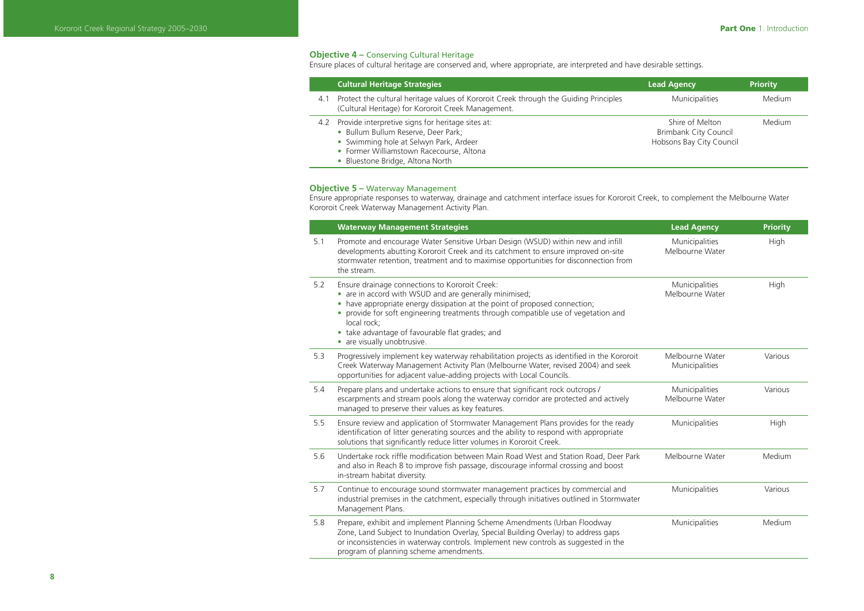# **Objective 4 –** Conserving Cultural Heritage

Ensure places of cultural heritage are conserved and, where appropriate, are interpreted and have desirable settings.

|     | <b>Cultural Heritage Strategies</b>                                                                                                                                                                                | <b>Lead Agency</b>                                                   | <b>Priority</b> |
|-----|--------------------------------------------------------------------------------------------------------------------------------------------------------------------------------------------------------------------|----------------------------------------------------------------------|-----------------|
| 4.1 | Protect the cultural heritage values of Kororoit Creek through the Guiding Principles<br>(Cultural Heritage) for Kororoit Creek Management.                                                                        | Municipalities                                                       | Medium          |
| 4.2 | Provide interpretive signs for heritage sites at:<br>· Bullum Bullum Reserve, Deer Park;<br>• Swimming hole at Selwyn Park, Ardeer<br>• Former Williamstown Racecourse, Altona<br>• Bluestone Bridge, Altona North | Shire of Melton<br>Brimbank City Council<br>Hobsons Bay City Council | Medium          |

#### **Objective 5 –** Waterway Management

Ensure appropriate responses to waterway, drainage and catchment interface issues for Kororoit Creek, to complement the Melbourne Water Kororoit Creek Waterway Management Activity Plan.

|     | <b>Waterway Management Strategies</b>                                                                                                                                                                                                                                                                                                                                       | <b>Lead Agency</b>                | <b>Priority</b> |
|-----|-----------------------------------------------------------------------------------------------------------------------------------------------------------------------------------------------------------------------------------------------------------------------------------------------------------------------------------------------------------------------------|-----------------------------------|-----------------|
| 5.1 | Promote and encourage Water Sensitive Urban Design (WSUD) within new and infill<br>developments abutting Kororoit Creek and its catchment to ensure improved on-site<br>stormwater retention, treatment and to maximise opportunities for disconnection from<br>the stream.                                                                                                 | Municipalities<br>Melbourne Water | High            |
| 5.2 | Ensure drainage connections to Kororoit Creek:<br>• are in accord with WSUD and are generally minimised;<br>• have appropriate energy dissipation at the point of proposed connection;<br>provide for soft engineering treatments through compatible use of vegetation and<br>local rock:<br>• take advantage of favourable flat grades; and<br>• are visually unobtrusive. | Municipalities<br>Melbourne Water | High            |
| 5.3 | Progressively implement key waterway rehabilitation projects as identified in the Kororoit<br>Creek Waterway Management Activity Plan (Melbourne Water, revised 2004) and seek<br>opportunities for adjacent value-adding projects with Local Councils.                                                                                                                     | Melbourne Water<br>Municipalities | Various         |
| 5.4 | Prepare plans and undertake actions to ensure that significant rock outcrops /<br>escarpments and stream pools along the waterway corridor are protected and actively<br>managed to preserve their values as key features.                                                                                                                                                  | Municipalities<br>Melbourne Water | Various         |
| 5.5 | Ensure review and application of Stormwater Management Plans provides for the ready<br>identification of litter generating sources and the ability to respond with appropriate<br>solutions that significantly reduce litter volumes in Kororoit Creek.                                                                                                                     | Municipalities                    | High            |
| 5.6 | Undertake rock riffle modification between Main Road West and Station Road, Deer Park<br>and also in Reach 8 to improve fish passage, discourage informal crossing and boost<br>in-stream habitat diversity.                                                                                                                                                                | Melbourne Water                   | Medium          |
| 5.7 | Continue to encourage sound stormwater management practices by commercial and<br>industrial premises in the catchment, especially through initiatives outlined in Stormwater<br>Management Plans.                                                                                                                                                                           | Municipalities                    | Various         |
| 5.8 | Prepare, exhibit and implement Planning Scheme Amendments (Urban Floodway<br>Zone, Land Subject to Inundation Overlay, Special Building Overlay) to address gaps<br>or inconsistencies in waterway controls. Implement new controls as suggested in the<br>program of planning scheme amendments.                                                                           | Municipalities                    | Medium          |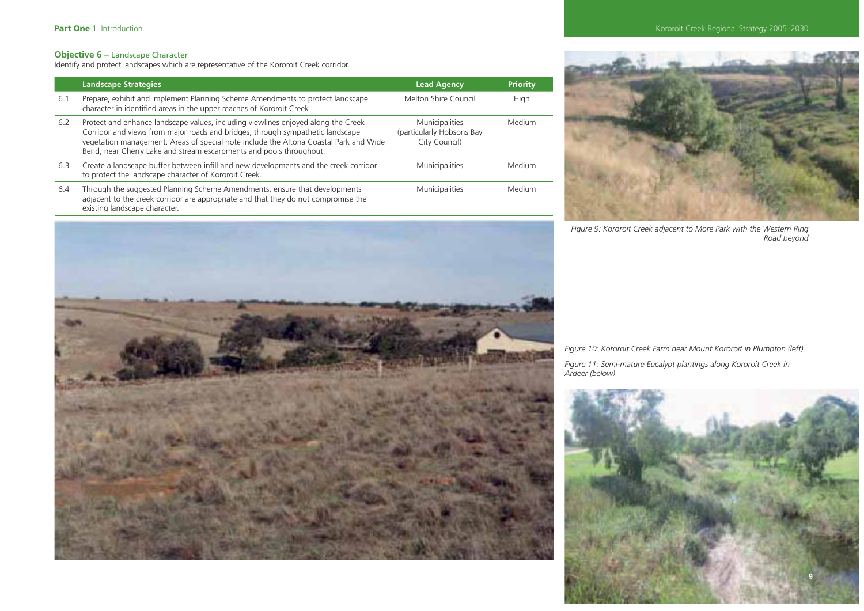# **Objective 6 –** Landscape Character

Identify and protect landscapes which are representative of the Kororoit Creek corridor.

|     | <b>Landscape Strategies</b>                                                                                                                                                                                                                                                                                                         | <b>Lead Agency</b>                                           | Priority |
|-----|-------------------------------------------------------------------------------------------------------------------------------------------------------------------------------------------------------------------------------------------------------------------------------------------------------------------------------------|--------------------------------------------------------------|----------|
| 6.1 | Prepare, exhibit and implement Planning Scheme Amendments to protect landscape<br>character in identified areas in the upper reaches of Kororoit Creek                                                                                                                                                                              | Melton Shire Council                                         | High     |
| 6.2 | Protect and enhance landscape values, including viewlines enjoyed along the Creek<br>Corridor and views from major roads and bridges, through sympathetic landscape<br>vegetation management. Areas of special note include the Altona Coastal Park and Wide<br>Bend, near Cherry Lake and stream escarpments and pools throughout. | Municipalities<br>(particularly Hobsons Bay<br>City Council) | Medium   |
| 6.3 | Create a landscape buffer between infill and new developments and the creek corridor<br>to protect the landscape character of Kororoit Creek.                                                                                                                                                                                       | Municipalities                                               | Medium   |
| 6.4 | Through the suggested Planning Scheme Amendments, ensure that developments<br>adjacent to the creek corridor are appropriate and that they do not compromise the<br>existing landscape character.                                                                                                                                   | Municipalities                                               | Medium   |



*Figure 9: Kororoit Creek adjacent to More Park with the Western Ring Road beyond*



*Figure 10: Kororoit Creek Farm near Mount Kororoit in Plumpton (left)*

*Figure 11: Semi-mature Eucalypt plantings along Kororoit Creek in Ardeer (below)*